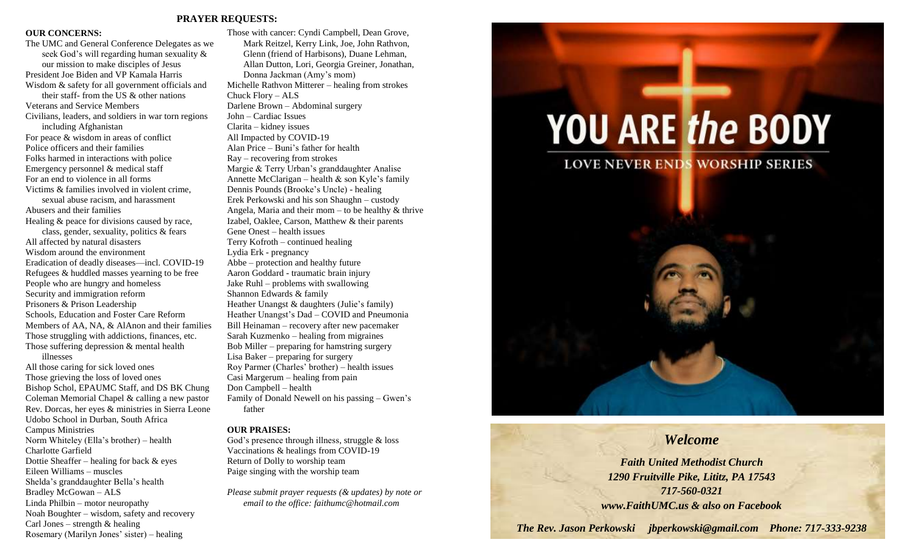#### **PRAYER REQUESTS:**

#### **OUR CONCERNS:**

The UMC and General Conference Delegates as we seek God's will regarding human sexuality & our mission to make disciples of Jesus President Joe Biden and VP Kamala Harris Wisdom & safety for all government officials and their staff- from the US & other nations Veterans and Service Members Civilians, leaders, and soldiers in war torn regions including Afghanistan For peace & wisdom in areas of conflict Police officers and their families Folks harmed in interactions with police Emergency personnel & medical staff For an end to violence in all forms Victims & families involved in violent crime, sexual abuse racism, and harassment Abusers and their families Healing & peace for divisions caused by race, class, gender, sexuality, politics & fears All affected by natural disasters Wisdom around the environment Eradication of deadly diseases—incl. COVID-19 Refugees & huddled masses yearning to be free People who are hungry and homeless Security and immigration reform Prisoners & Prison Leadership Schools, Education and Foster Care Reform Members of AA, NA, & AlAnon and their families Those struggling with addictions, finances, etc. Those suffering depression & mental health illnesses All those caring for sick loved ones Those grieving the loss of loved ones Bishop Schol, EPAUMC Staff, and DS BK Chung Coleman Memorial Chapel & calling a new pastor Rev. Dorcas, her eyes & ministries in Sierra Leone Udobo School in Durban, South Africa Campus Ministries

Norm Whiteley (Ella's brother) – health Charlotte Garfield

Dottie Sheaffer – healing for back & eyes Eileen Williams – muscles Shelda's granddaughter Bella's health Bradley McGowan – ALS Linda Philbin – motor neuropathy Noah Boughter – wisdom, safety and recovery Carl Jones – strength  $&$  healing

Rosemary (Marilyn Jones' sister) – healing

Those with cancer: Cyndi Campbell, Dean Grove, Mark Reitzel, Kerry Link, Joe, John Rathvon, Glenn (friend of Harbisons), Duane Lehman, Allan Dutton, Lori, Georgia Greiner, Jonathan, Donna Jackman (Amy's mom) Michelle Rathvon Mitterer – healing from strokes Chuck Flory – ALS Darlene Brown – Abdominal surgery John – Cardiac Issues Clarita – kidney issues All Impacted by COVID-19 Alan Price – Buni's father for health Ray – recovering from strokes Margie & Terry Urban's granddaughter Analise Annette McClarigan – health  $\&$  son Kyle's family Dennis Pounds (Brooke's Uncle) - healing Erek Perkowski and his son Shaughn – custody Angela, Maria and their mom – to be healthy  $&$  thrive Izabel, Oaklee, Carson, Matthew & their parents Gene Onest – health issues Terry Kofroth – continued healing Lydia Erk - pregnancy Abbe – protection and healthy future Aaron Goddard - traumatic brain injury Jake Ruhl – problems with swallowing Shannon Edwards & family Heather Unangst & daughters (Julie's family) Heather Unangst's Dad – COVID and Pneumonia Bill Heinaman – recovery after new pacemaker Sarah Kuzmenko – healing from migraines Bob Miller – preparing for hamstring surgery Lisa Baker – preparing for surgery Roy Parmer (Charles' brother) – health issues Casi Margerum – healing from pain Don Campbell – health Family of Donald Newell on his passing – Gwen's father

#### **OUR PRAISES:**

God's presence through illness, struggle & loss Vaccinations & healings from COVID-19 Return of Dolly to worship team Paige singing with the worship team

*Please submit prayer requests (& updates) by note or email to the office: faithumc@hotmail.com*

# **YOU ARE the BODY**

### **LOVE NEVER ENDS WORSHIP SERIES**



*Welcome Faith United Methodist Church 1290 Fruitville Pike, Lititz, PA 17543 717-560-0321 www.FaithUMC.us & also on Facebook*

*The Rev. Jason Perkowski jbperkowski@gmail.com Phone: 717-333-9238*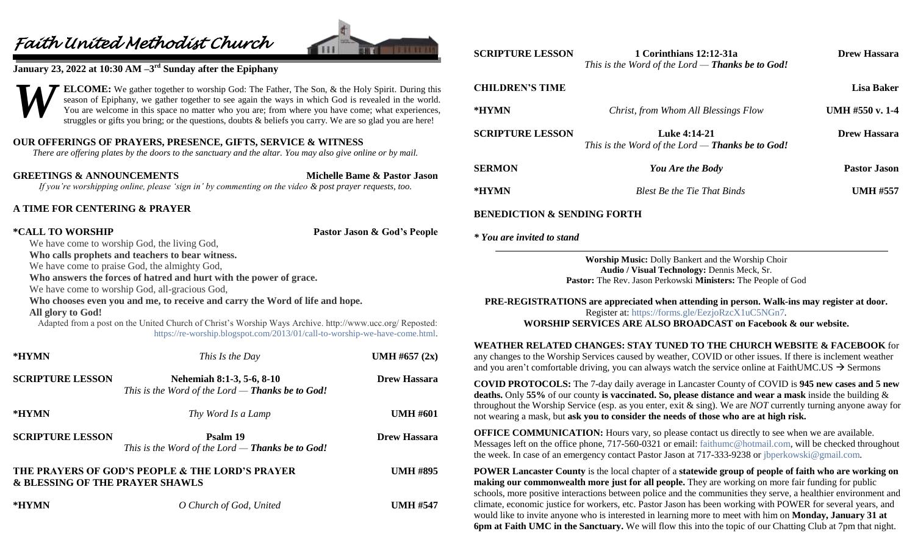## *Faith United Methodist Church*



#### **January 23, 2022 at 10:30 AM –3 rd Sunday after the Epiphany**



**ELCOME:** We gather together to worship God: The Father, The Son, & the Holy Spirit. During this season of Epiphany, we gather together to see again the ways in which God is revealed in the world. You are welcome in this space no matter who you are; from where you have come; what experiences, struggles or gifts you bring; or the questions, doubts & beliefs you carry. We are so glad you are here!

#### **OUR OFFERINGS OF PRAYERS, PRESENCE, GIFTS, SERVICE & WITNESS**

*There are offering plates by the doors to the sanctuary and the altar. You may also give online or by mail.*

**GREETINGS & ANNOUNCEMENTS Michelle Bame & Pastor Jason** *If you're worshipping online, please 'sign in' by commenting on the video & post prayer requests, too.*

#### **A TIME FOR CENTERING & PRAYER**

**\*CALL TO WORSHIP Pastor Jason & God's People**

We have come to worship God, the living God, **Who calls prophets and teachers to bear witness.**

We have come to praise God, the almighty God,

**Who answers the forces of hatred and hurt with the power of grace.**

We have come to worship God, all-gracious God,

#### **Who chooses even you and me, to receive and carry the Word of life and hope.**

**All glory to God!**

Adapted from a post on the United Church of Christ's Worship Ways Archive. http://www.ucc.org/ Reposted: [https://re-worship.blogspot.com/2013/01/call-to-worship-we-have-come.html.](https://re-worship.blogspot.com/2013/01/call-to-worship-we-have-come.html)

| *HYMN                                      | This Is the Day                                                                 | UMH #657 $(2x)$     |
|--------------------------------------------|---------------------------------------------------------------------------------|---------------------|
| <b>SCRIPTURE LESSON</b>                    | Nehemiah 8:1-3, 5-6, 8-10<br>This is the Word of the Lord $-$ Thanks be to God! | <b>Drew Hassara</b> |
| *HYMN                                      | Thy Word Is a Lamp                                                              | <b>UMH #601</b>     |
| <b>SCRIPTURE LESSON</b>                    | Psalm 19<br>This is the Word of the Lord $-$ Thanks be to God!                  | <b>Drew Hassara</b> |
| <b>&amp; BLESSING OF THE PRAYER SHAWLS</b> | THE PRAYERS OF GOD'S PEOPLE & THE LORD'S PRAYER                                 | <b>UMH #895</b>     |
| *HYMN                                      | O Church of God, United                                                         | <b>UMH #547</b>     |

| <b>SCRIPTURE LESSON</b>                | 1 Corinthians 12:12-31a<br>This is the Word of the Lord — <b>Thanks be to God!</b> | <b>Drew Hassara</b> |  |
|----------------------------------------|------------------------------------------------------------------------------------|---------------------|--|
| <b>CHILDREN'S TIME</b>                 |                                                                                    | Lisa Baker          |  |
| *HYMN                                  | Christ, from Whom All Blessings Flow                                               | UMH $#550$ v. 1-4   |  |
| <b>SCRIPTURE LESSON</b>                | <b>Luke 4:14-21</b><br>This is the Word of the Lord — <b>Thanks be to God!</b>     | <b>Drew Hassara</b> |  |
| <b>SERMON</b>                          | You Are the Body                                                                   | <b>Pastor Jason</b> |  |
| *HYMN                                  | <b>Blest Be the Tie That Binds</b>                                                 | <b>UMH #557</b>     |  |
| <b>BENEDICTION &amp; SENDING FORTH</b> |                                                                                    |                     |  |
| * You are invited to stand             |                                                                                    |                     |  |

**Worship Music:** Dolly Bankert and the Worship Choir **Audio / Visual Technology:** Dennis Meck, Sr. **Pastor:** The Rev. Jason Perkowski **Ministers:** The People of God

**PRE-REGISTRATIONS are appreciated when attending in person. Walk-ins may register at door.**  Register at:<https://forms.gle/EezjoRzcX1uC5NGn7>*.* **WORSHIP SERVICES ARE ALSO BROADCAST on Facebook & our website.**

**WEATHER RELATED CHANGES: STAY TUNED TO THE CHURCH WEBSITE & FACEBOOK** for any changes to the Worship Services caused by weather, COVID or other issues. If there is inclement weather and you aren't comfortable driving, you can always watch the service online at FaithUMC.US  $\rightarrow$  Sermons

**COVID PROTOCOLS:** The 7-day daily average in Lancaster County of COVID is **945 new cases and 5 new deaths.** Only **55%** of our county **is vaccinated. So, please distance and wear a mask** inside the building & throughout the Worship Service (esp. as you enter, exit & sing). We are *NOT* currently turning anyone away for not wearing a mask, but **ask you to consider the needs of those who are at high risk.**

**OFFICE COMMUNICATION:** Hours vary, so please contact us directly to see when we are available. Messages left on the office phone, 717-560-0321 or email: [faithumc@hotmail.com,](mailto:faithumc@hotmail.com) will be checked throughout the week. In case of an emergency contact Pastor Jason at 717-333-9238 or [jbperkowski@gmail.com.](mailto:jbperkowski@gmail.com)

**POWER Lancaster County** is the local chapter of a **statewide group of people of faith who are working on making our commonwealth more just for all people.** They are working on more fair funding for public schools, more positive interactions between police and the communities they serve, a healthier environment and climate, economic justice for workers, etc. Pastor Jason has been working with POWER for several years, and would like to invite anyone who is interested in learning more to meet with him on **Monday, January 31 at 6pm at Faith UMC in the Sanctuary.** We will flow this into the topic of our Chatting Club at 7pm that night.